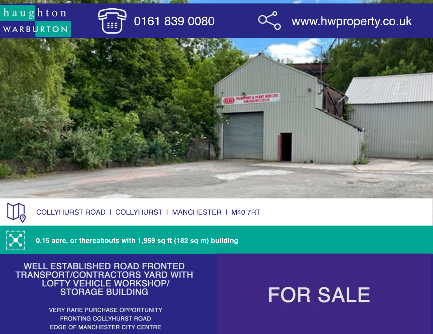



COLLYHURST ROAD | COLLYHURST | MANCHESTER | M40 7RT



**0.15 acre, or thereabouts with 1,959 sq ft (182 sq m) building** 

WELL ESTABLISHED ROAD FRONTED<br>TRANSPORT/CONTRACTORS YARD WITH LOFTY VEHICLE WORKSHOP/<br>STORAGE BUILDING

> **VERY RARE PURCHASE OPPORTUNITY FRONTING COLLYHURST ROAD** EDGE OF MANCHESTER CITY CENTRE

# **FOR SALE**